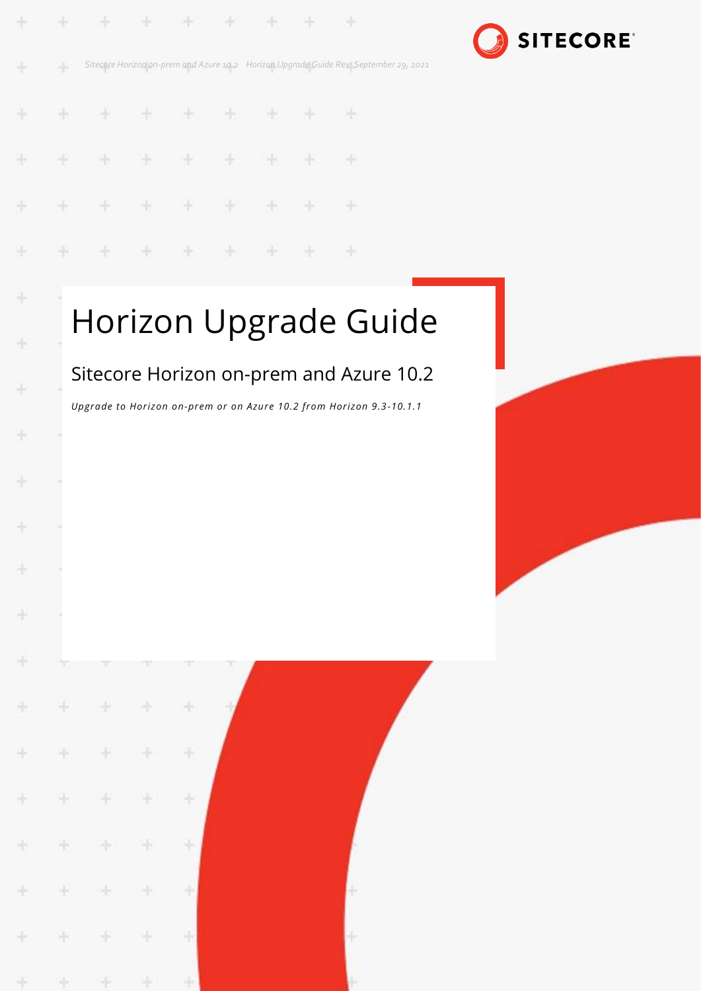

*Sitecore Horizon on-prem and Azure 10.2 Horizon Upgrade Guide Rev: September 29, 2021* ÷,

÷

 $\mathbb{Z}[\mathfrak{a}]$ 

æ

宇

æ

SH.

÷

÷

4

÷

÷

÷

÷

÷

÷

÷

÷

4

÷

4

÷

÷

÷

÷

÷

4

÷

÷

÷

÷

4

÷

÷

÷

÷

÷

÷

÷

÷

÷

÷

÷

÷

÷

÷

÷

4

÷

 $\pm$ 

÷

#### ÷ ÷ ÷ ÷ ÷ ÷ æ æ ÷ ÷ ¥ ÷ ÷ a, æ  $\frac{1}{2}$ ÷ ÷ ¥ 46 46 × y,

# Horizon Upgrade Guide

## Sitecore Horizon on-prem and Azure 10.2

*Upgrade to Horizon on-prem or on Azure 10.2 from Horizon 9.3-10.1.1*